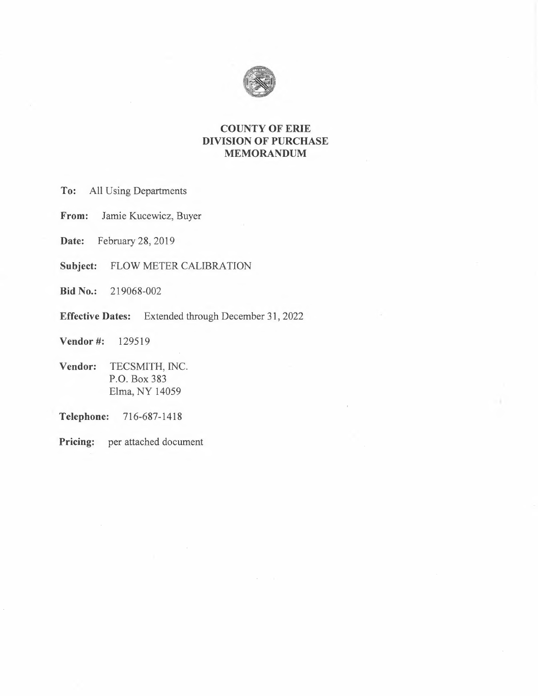

## **COUNTY OF ERIE DIVISION OF PURCHASE MEMORANDUM**

**To:** All Using Departments

**From:** Jamie Kucewicz, Buyer

**Date:** February 28, 2019

**Subject:** FLOW METER CALIBRATION

**Bid No.:** 219068-002

**Effective Dates:** Extended through December 31, 2022

**Vendor#:** 129519

**Vendor:** TECSMITH, INC. P.O. Box 383 Elma, NY 14059

**Telephone:** 716-687-1418

**Pricing:** per attached document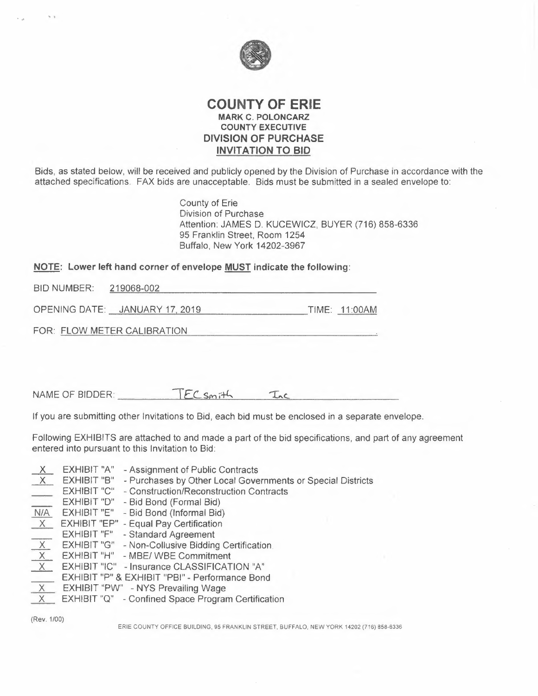

### **COUNTY OF ERIE MARK C. POLONCARZ COUNTY EXECUTIVE DIVISION OF PURCHASE INVITATION TO BID**

Bids, as stated below, will be received and publicly opened by the Division of Purchase in accordance with the attached specifications. FAX bids are unacceptable. Bids must be submitted in a sealed envelope to:

> County of Erie Division of Purchase Attention: JAMES D. KUCEWICZ, BUYER (716) 858-6336 95 Franklin Street, Room 1254 Buffalo, New York 14202-3967

# **NOTE: Lower left hand corner of envelope <u>MUST</u> indicate the following:<br>BID NUMBER: 219068-002**

OPENING DATE: JANUARY 17 2019 TIME: 11 :00AM

FOR: FLOW METER CALIBRATION

**• l** 

 $NAME OF BIDDER: \n $\text{TFC} \text{S} \text{m} \cdot \text{Th} \quad \text{Inc}$$ 

If you are submitting other Invitations to Bid, each bid must be enclosed in a separate envelope.

Following EXHIBITS are attached to and made a part of the bid specifications, and part of any agreement entered into pursuant to this Invitation to Bid:

- EXHIBIT "A" Assignment of Public Contracts  $\mathsf{X}$
- EXHIBIT "B" Purchases by Other Local Governments or Special Districts
- EXHIBIT "C" Construction/Reconstruction Contracts
- EXHIBIT "D" Bid Bond (Formal Bid)
- N/A EXHIBIT "E" Bid Bond (Informal Bid)
- $\overline{X}$
- EXHIBIT "F" Standard Agreement
- X EXHIBIT "EP" Equal Pay Certification<br>EXHIBIT "F" Standard Agreement<br>X EXHIBIT "G" Non-Collusive Bidding C EXHIBIT "G" - Non-Collusive Bidding Certification
- $\overline{X}$ EXHIBIT "H" - MBE/ WBE Commitment
- $X$ EXHIBIT "IC" - Insurance CLASSIFICATION "A"
- EXHIBIT "P" & EXHIBIT "PBI" Performance Bond
- EXHIBIT "P" & EXHIBIT "PBI" Performa<br>
X EXHIBIT "PW" NYS Prevailing Wage<br>
X EXHIBIT "PW" NYS Prevailing Wage
- X EXHIBIT "PW" NYS Prevailing Wage<br>X EXHIBIT "Q" Confined Space Program Certification

(Rev. 1/00)

ERIE COUNTY OFFICE BUILDING, 95 FRANKLIN STREET, BUFFALO, NEW YORK 14202 (716) 858-6336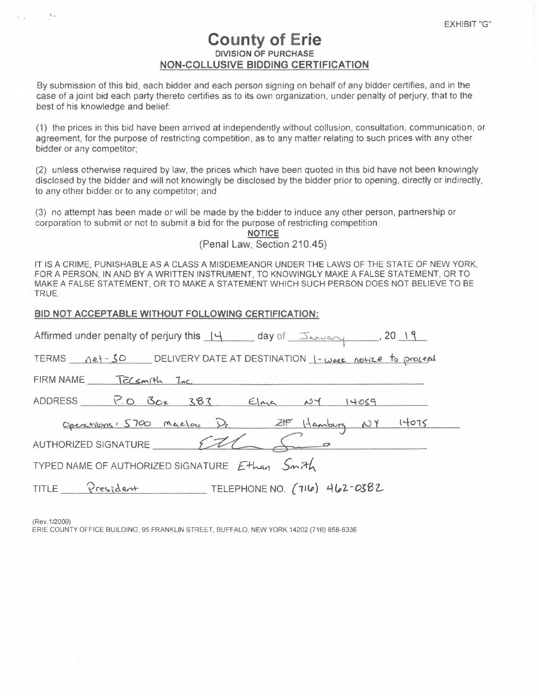# **County of Erie DIVISION OF PURCHASE NON-COLLUSIVE BIDDING CERTIFICATION**

By submission of this bid, each bidder and each person signing on behalf of any bidder certifies, and in the case of a joint bid each party thereto certifies as to its own organization, under penalty of perjury, that to the best of his knowledge and belief:

(1) the prices in this bid have been arrived at independently without collusion, consultation, communication, or agreement, for the purpose of restricting competition, as to any matter relating to such prices with any other bidder or any competitor;

(2) unless otherwise required by law, the prices which have been quoted in this bid have not been knowingly disclosed by the bidder and will not knowingly be disclosed by the bidder prior to opening, directly or indirectly, to any other bidder or to any competitor; and

(3) no attempt has been made or will be made by the bidder to induce any other person, partnership or corporation to submit or not to submit a bid for the purpose of restricting competition.

| <b>NOTICE</b> |  |  |                             |  |  |  |  |
|---------------|--|--|-----------------------------|--|--|--|--|
|               |  |  | (Penal Law, Section 210.45) |  |  |  |  |

IT IS A CRIME, PUNISHABLE AS A CLASS A MISDEMEANOR UNDER THE LAWS OF THE STATE OF NEW YORK, FOR A PERSON, IN AND BY A WRITTEN INSTRUMENT, TO KNOWINGLY MAKE A FALSE STATEMENT, OR TO MAKE A FALSE STATEMENT, OR TO MAKE A STATEMENT WHICH SUCH PERSON DOES NOT BELIEVE TO BE TRUE.

|  | BID NOT ACCEPTABLE WITHOUT FOLLOWING CERTIFICATION: |
|--|-----------------------------------------------------|
|  |                                                     |

| Affirmed under penalty of perjury this 14 day of January 10, 2019                                                                                |
|--------------------------------------------------------------------------------------------------------------------------------------------------|
| TERMS <u>net-30</u> DELIVERY DATE AT DESTINATION 1-week notice to proceed                                                                        |
| FIRM NAME TELSMITH Inc.                                                                                                                          |
| ADDRESS P.O. Box 383 Elma NY 14059                                                                                                               |
| Operations: 5700 Maelou Dr. 2HP Hamburg NY 14075                                                                                                 |
| AUTHORIZED SIGNATURE 222<br><u> De Santa Carlos de Santa Carlos de Santa Carlos de Santa Carlos de Santa Carlos de Santa Carlos de Santa Car</u> |
| TYPED NAME OF AUTHORIZED SIGNATURE Ethan Smith                                                                                                   |
| TITLE President TELEPHONE NO. (716) 462-0382                                                                                                     |

(Rev .1 /2000)

, I

ERIE COUNTY OFFICE BUILDING, 95 FRANKLIN STREET, BUFFALO, NEW YORK 14202 (716) 858-6336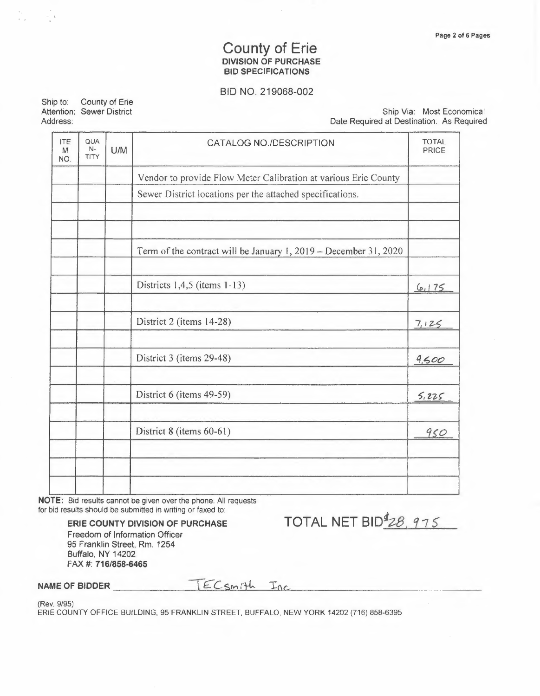# County of Erie<br>DIVISION OF PURCHASE **BID SPECIFICATIONS**

#### BID NO. 219068-002

Ship to: County of Erie Attention: Sewer District Address:

 $=$   $\lambda$ 

Ship Via: Most Economical Date Required at Destination: As Required

| <b>ITE</b><br>QUA<br>$N-$<br>U/M<br>M<br><b>TITY</b><br>NO. |  | CATALOG NO./DESCRIPTION                                          |       |
|-------------------------------------------------------------|--|------------------------------------------------------------------|-------|
|                                                             |  | Vendor to provide Flow Meter Calibration at various Erie County  |       |
|                                                             |  | Sewer District locations per the attached specifications.        |       |
|                                                             |  |                                                                  |       |
|                                                             |  | Term of the contract will be January 1, 2019 - December 31, 2020 |       |
|                                                             |  | Districts $1,4,5$ (items $1-13$ )                                | 6175  |
|                                                             |  | District 2 (items 14-28)                                         | 7,125 |
|                                                             |  | District 3 (items 29-48)                                         | 9,500 |
|                                                             |  | District 6 (items 49-59)                                         | 5,225 |
|                                                             |  | District 8 (items 60-61)                                         | 950   |
|                                                             |  |                                                                  |       |
|                                                             |  |                                                                  |       |

NOTE: Bid results cannot be given over the phone. All requests for bid results should be submitted in writing or faxed to:

> ERIE COUNTY DIVISION OF PURCHASE Freedom of Information Officer 95 Franklin Street, Rm. 1254 Buffalo, NY 14202 FAX #: 716/858-6465

TOTAL NET BID<sup>\$</sup>28, 975

NAME OF BIDDER

TECSMith Inc

(Rev. 9/95)

ERIE COUNTY OFFICE BUILDING, 95 FRANKLIN STREET, BUFFALO, NEW YORK 14202 (716) 858-6395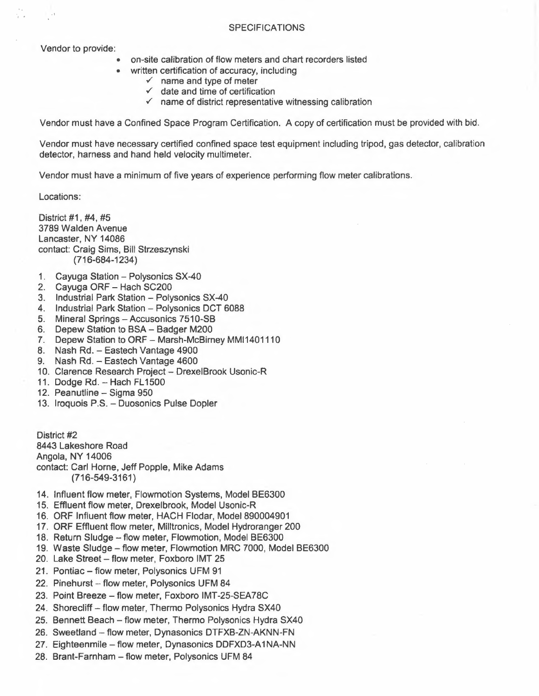#### **SPECIFICATIONS**

Vendor to provide:

- on-site calibration of flow meters and chart recorders listed
	- written certification of accuracy, including
		- $\checkmark$  name and type of meter
		- $\checkmark$  date and time of certification
		- $\checkmark$  name of district representative witnessing calibration

Vendor must have a Confined Space Program Certification. A copy of certification must be provided with bid.

Vendor must have necessary certified confined space test equipment including tripod, gas detector, calibration detector, harness and hand held velocity multimeter.

Vendor must have a minimum of five years of experience performing flow meter calibrations.

Locations:

District #1, #4, #5 3789 Walden Avenue Lancaster, NY 14086 contact: Craig Sims, Bill Strzeszynski (716-684-1234)

- 1. Cayuga Station Polysonics SX-40
- 2. Cayuga ORF Hach SC200
- 3. Industrial Park Station Polysonics SX-40
- 4. Industrial Park Station Polysonics DCT 6088
- 5. Mineral Springs Accusonics 7510-SB
- 6. Depew Station to BSA Badger M200
- 7. Depew Station to ORF Marsh-McBirney MMI1401110
- 8. Nash Rd. Eastech Vantage 4900
- 9. Nash Rd. Eastech Vantage 4600
- 10. Clarence Research Project Drexel Brook Usonic-R
- 11. Dodge Rd. Hach FL1500
- 12. Peanutline Sigma 950
- 13. Iroquois P.S. Duosonics Pulse Dopler

District #2 8443 Lakeshore Road Angola, NY 14006 contact: Carl Horne, Jeff Popple, Mike Adams (716-549-3161)

- 14. Influent flow meter, Flowmotion Systems, Model BE6300
- 15. Effluent flow meter, Drexelbrook, Model Usonic-R
- 16. ORF Influent flow meter, HACH Flodar, Model 890004901
- 17. ORF Effluent flow meter, Milltronics, Model Hydroranger 200
- 18. Return Sludge flow meter, Flowmotion, Model BE6300
- 18. Return Sludge flow meter, Flowmotion, Model BE6300<br>19. Waste Sludge flow meter, Flowmotion MRC 7000, Model BE6300
- 19. Waste Sludge flow meter, Flowmotion Mi<br>20. Lake Street flow meter, Foxboro IMT 25 20. Lake Street - flow meter, Foxboro IMT 25<br>21. Pontiac - flow meter, Polysonics UFM 91
- 
- 22. Pinehurst flow meter, Polysonics UFM 84
- 23. Point Breeze flow meter, Foxboro IMT-25-SEA78C
- 24. Shorecliff flow meter, Thermo Polysonics Hydra SX40
- 25. Bennett Beach flow meter, Thermo Polysonics Hydra SX40
- 26. Sweetland flow meter, Dynasonics DTFXB-ZN-AKNN-FN
- 27. Eighteenmile flow meter, Dynasonics DDFXD3-A1NA-NN
- 28. Brant-Farnham flow meter, Polysonics UFM 84